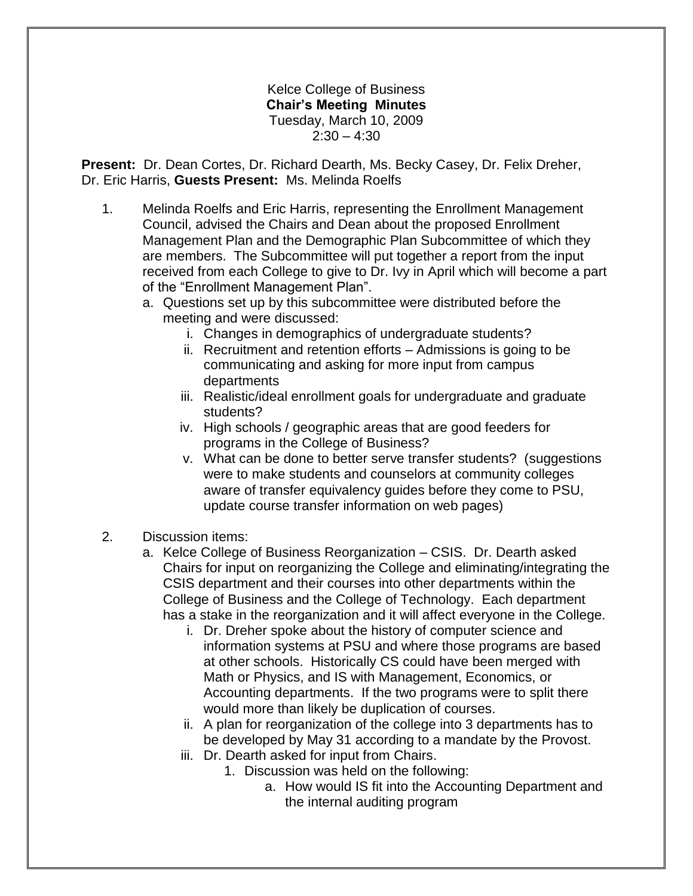## Kelce College of Business **Chair's Meeting Minutes** Tuesday, March 10, 2009  $2:30 - 4:30$

**Present:** Dr. Dean Cortes, Dr. Richard Dearth, Ms. Becky Casey, Dr. Felix Dreher, Dr. Eric Harris, **Guests Present:** Ms. Melinda Roelfs

- 1. Melinda Roelfs and Eric Harris, representing the Enrollment Management Council, advised the Chairs and Dean about the proposed Enrollment Management Plan and the Demographic Plan Subcommittee of which they are members. The Subcommittee will put together a report from the input received from each College to give to Dr. Ivy in April which will become a part of the "Enrollment Management Plan".
	- a. Questions set up by this subcommittee were distributed before the meeting and were discussed:
		- i. Changes in demographics of undergraduate students?
		- ii. Recruitment and retention efforts Admissions is going to be communicating and asking for more input from campus departments
		- iii. Realistic/ideal enrollment goals for undergraduate and graduate students?
		- iv. High schools / geographic areas that are good feeders for programs in the College of Business?
		- v. What can be done to better serve transfer students? (suggestions were to make students and counselors at community colleges aware of transfer equivalency guides before they come to PSU, update course transfer information on web pages)
- 2. Discussion items:
	- a. Kelce College of Business Reorganization CSIS. Dr. Dearth asked Chairs for input on reorganizing the College and eliminating/integrating the CSIS department and their courses into other departments within the College of Business and the College of Technology. Each department has a stake in the reorganization and it will affect everyone in the College.
		- i. Dr. Dreher spoke about the history of computer science and information systems at PSU and where those programs are based at other schools. Historically CS could have been merged with Math or Physics, and IS with Management, Economics, or Accounting departments. If the two programs were to split there would more than likely be duplication of courses.
		- ii. A plan for reorganization of the college into 3 departments has to be developed by May 31 according to a mandate by the Provost.
		- iii. Dr. Dearth asked for input from Chairs.
			- 1. Discussion was held on the following:
				- a. How would IS fit into the Accounting Department and the internal auditing program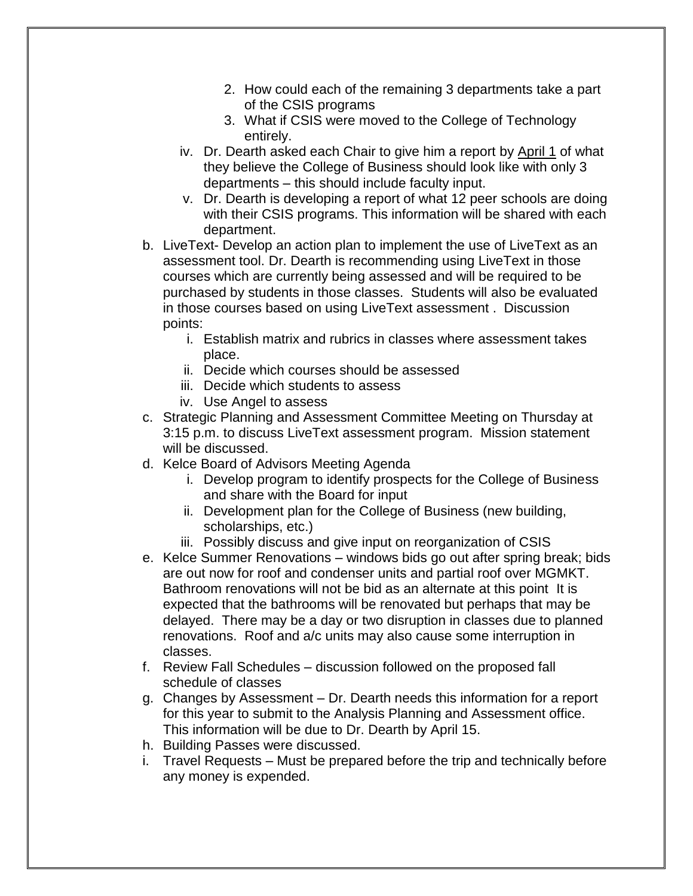- 2. How could each of the remaining 3 departments take a part of the CSIS programs
- 3. What if CSIS were moved to the College of Technology entirely.
- iv. Dr. Dearth asked each Chair to give him a report by April 1 of what they believe the College of Business should look like with only 3 departments – this should include faculty input.
- v. Dr. Dearth is developing a report of what 12 peer schools are doing with their CSIS programs. This information will be shared with each department.
- b. LiveText- Develop an action plan to implement the use of LiveText as an assessment tool. Dr. Dearth is recommending using LiveText in those courses which are currently being assessed and will be required to be purchased by students in those classes. Students will also be evaluated in those courses based on using LiveText assessment . Discussion points:
	- i. Establish matrix and rubrics in classes where assessment takes place.
	- ii. Decide which courses should be assessed
	- iii. Decide which students to assess
	- iv. Use Angel to assess
- c. Strategic Planning and Assessment Committee Meeting on Thursday at 3:15 p.m. to discuss LiveText assessment program. Mission statement will be discussed.
- d. Kelce Board of Advisors Meeting Agenda
	- i. Develop program to identify prospects for the College of Business and share with the Board for input
	- ii. Development plan for the College of Business (new building, scholarships, etc.)
	- iii. Possibly discuss and give input on reorganization of CSIS
- e. Kelce Summer Renovations windows bids go out after spring break; bids are out now for roof and condenser units and partial roof over MGMKT. Bathroom renovations will not be bid as an alternate at this point It is expected that the bathrooms will be renovated but perhaps that may be delayed. There may be a day or two disruption in classes due to planned renovations. Roof and a/c units may also cause some interruption in classes.
- f. Review Fall Schedules discussion followed on the proposed fall schedule of classes
- g. Changes by Assessment Dr. Dearth needs this information for a report for this year to submit to the Analysis Planning and Assessment office. This information will be due to Dr. Dearth by April 15.
- h. Building Passes were discussed.
- i. Travel Requests Must be prepared before the trip and technically before any money is expended.